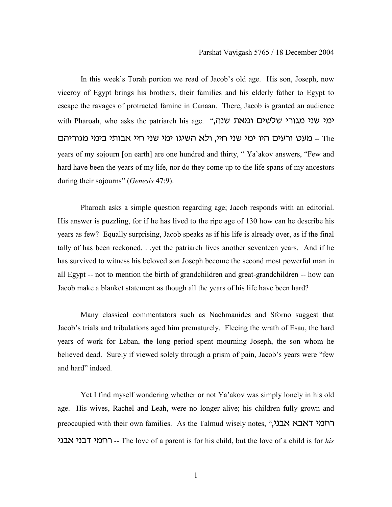In this week's Torah portion we read of Jacob's old age. His son, Joseph, now viceroy of Egypt brings his brothers, their families and his elderly father to Egypt to escape the ravages of protracted famine in Canaan. There, Jacob is granted an audience with Pharoah, who asks the patriarch his age. "עמי שני מגורי שלשים ומאת שנה ח- מעט ורעים היו ימי שני חיי, ולא השיגו ימי שני חיי אבותי בימי מגוריהם years of my sojourn [on earth] are one hundred and thirty, " Ya'akov answers, "Few and hard have been the years of my life, nor do they come up to the life spans of my ancestors during their sojourns" (*Genesis* 47:9).

Pharoah asks a simple question regarding age; Jacob responds with an editorial. His answer is puzzling, for if he has lived to the ripe age of 130 how can he describe his years as few? Equally surprising, Jacob speaks as if his life is already over, as if the final tally of has been reckoned. . .yet the patriarch lives another seventeen years. And if he has survived to witness his beloved son Joseph become the second most powerful man in all Egypt -- not to mention the birth of grandchildren and great-grandchildren -- how can Jacob make a blanket statement as though all the years of his life have been hard?

Many classical commentators such as Nachmanides and Sforno suggest that Jacob's trials and tribulations aged him prematurely. Fleeing the wrath of Esau, the hard years of work for Laban, the long period spent mourning Joseph, the son whom he believed dead. Surely if viewed solely through a prism of pain, Jacob's years were "few and hard" indeed.

Yet I find myself wondering whether or not Ya'akov was simply lonely in his old age. His wives, Rachel and Leah, were no longer alive; his children fully grown and preoccupied with their own families. As the Talmud wisely notes, "רחמי דאבא אבני hbct hbcs hnjr -- The love of a parent is for his child, but the love of a child is for *his*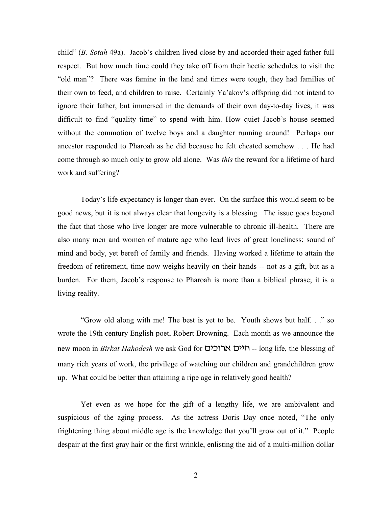child" (*B. Sotah* 49a). Jacob's children lived close by and accorded their aged father full respect. But how much time could they take off from their hectic schedules to visit the "old man"? There was famine in the land and times were tough, they had families of their own to feed, and children to raise. Certainly Ya'akov's offspring did not intend to ignore their father, but immersed in the demands of their own day-to-day lives, it was difficult to find "quality time" to spend with him. How quiet Jacob's house seemed without the commotion of twelve boys and a daughter running around! Perhaps our ancestor responded to Pharoah as he did because he felt cheated somehow . . . He had come through so much only to grow old alone. Was *this* the reward for a lifetime of hard work and suffering?

Today's life expectancy is longer than ever. On the surface this would seem to be good news, but it is not always clear that longevity is a blessing. The issue goes beyond the fact that those who live longer are more vulnerable to chronic ill-health. There are also many men and women of mature age who lead lives of great loneliness; sound of mind and body, yet bereft of family and friends. Having worked a lifetime to attain the freedom of retirement, time now weighs heavily on their hands -- not as a gift, but as a burden. For them, Jacob's response to Pharoah is more than a biblical phrase; it is a living reality.

"Grow old along with me! The best is yet to be. Youth shows but half. . ." so wrote the 19th century English poet, Robert Browning. Each month as we announce the new moon in *Birkat Hahodesh* we ask God for **רוכים ארוכים --** long life, the blessing of many rich years of work, the privilege of watching our children and grandchildren grow up. What could be better than attaining a ripe age in relatively good health?

Yet even as we hope for the gift of a lengthy life, we are ambivalent and suspicious of the aging process. As the actress Doris Day once noted, "The only frightening thing about middle age is the knowledge that you'll grow out of it." People despair at the first gray hair or the first wrinkle, enlisting the aid of a multi-million dollar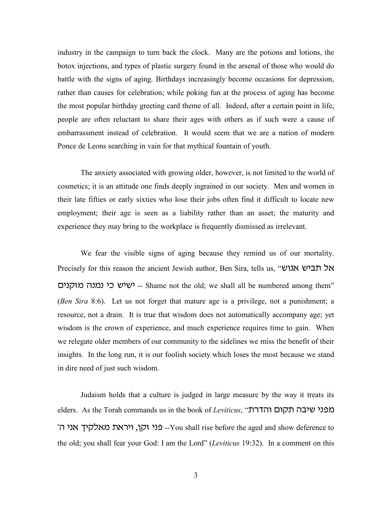industry in the campaign to turn back the clock. Many are the potions and lotions, the botox injections, and types of plastic surgery found in the arsenal of those who would do battle with the signs of aging. Birthdays increasingly become occasions for depression, rather than causes for celebration; while poking fun at the process of aging has become the most popular birthday greeting card theme of all. Indeed, after a certain point in life, people are often reluctant to share their ages with others as if such were a cause of embarrassment instead of celebration. It would seem that we are a nation of modern Ponce de Leons searching in vain for that mythical fountain of youth.

The anxiety associated with growing older, however, is not limited to the world of cosmetics; it is an attitude one finds deeply ingrained in our society. Men and women in their late fifties or early sixties who lose their jobs often find it difficult to locate new employment; their age is seen as a liability rather than an asset; the maturity and experience they may bring to the workplace is frequently dismissed as irrelevant.

We fear the visible signs of aging because they remind us of our mortality. Precisely for this reason the ancient Jewish author, Ben Sira, tells us, "אל תביש אנוש ישיש כי נמנה מזקנים -- Shame not the old; we shall all be numbered among them" (*Ben Sira* 8:6). Let us not forget that mature age is a privilege, not a punishment; a resource, not a drain. It is true that wisdom does not automatically accompany age; yet wisdom is the crown of experience, and much experience requires time to gain. When we relegate older members of our community to the sidelines we miss the benefit of their insights. In the long run, it is our foolish society which loses the most because we stand in dire need of just such wisdom.

Judaism holds that a culture is judged in large measure by the way it treats its elders. As the Torah commands us in the book of *Leviticus*, "הדרת v hbt lhektn ,trhu 'iez hbp --You shall rise before the aged and show deference to the old; you shall fear your God: I am the Lord" (*Leviticus* 19:32). In a comment on this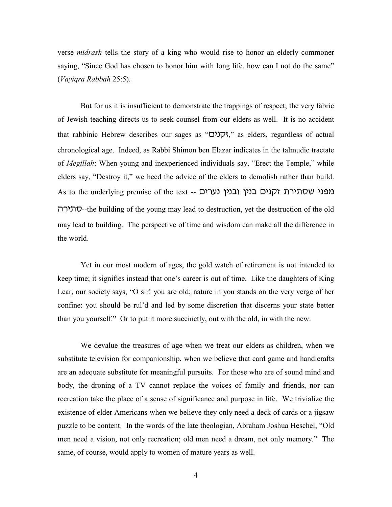verse *midrash* tells the story of a king who would rise to honor an elderly commoner saying, "Since God has chosen to honor him with long life, how can I not do the same" (*Vayiqra Rabbah* 25:5).

But for us it is insufficient to demonstrate the trappings of respect; the very fabric of Jewish teaching directs us to seek counsel from our elders as well. It is no accident that rabbinic Hebrew describes our sages as "הְנוּט)," as elders, regardless of actual chronological age. Indeed, as Rabbi Shimon ben Elazar indicates in the talmudic tractate of *Megillah*: When young and inexperienced individuals say, "Erect the Temple," while elders say, "Destroy it," we heed the advice of the elders to demolish rather than build. As to the underlying premise of the text -- מפני שסתירת זקנים בנין ובנין נערים רעלרה--the building of the young may lead to destruction, yet the destruction of the old may lead to building. The perspective of time and wisdom can make all the difference in the world.

Yet in our most modern of ages, the gold watch of retirement is not intended to keep time; it signifies instead that one's career is out of time. Like the daughters of King Lear, our society says, "O sir! you are old; nature in you stands on the very verge of her confine: you should be rul'd and led by some discretion that discerns your state better than you yourself." Or to put it more succinctly, out with the old, in with the new.

We devalue the treasures of age when we treat our elders as children, when we substitute television for companionship, when we believe that card game and handicrafts are an adequate substitute for meaningful pursuits. For those who are of sound mind and body, the droning of a TV cannot replace the voices of family and friends, nor can recreation take the place of a sense of significance and purpose in life. We trivialize the existence of elder Americans when we believe they only need a deck of cards or a jigsaw puzzle to be content. In the words of the late theologian, Abraham Joshua Heschel, "Old men need a vision, not only recreation; old men need a dream, not only memory." The same, of course, would apply to women of mature years as well.